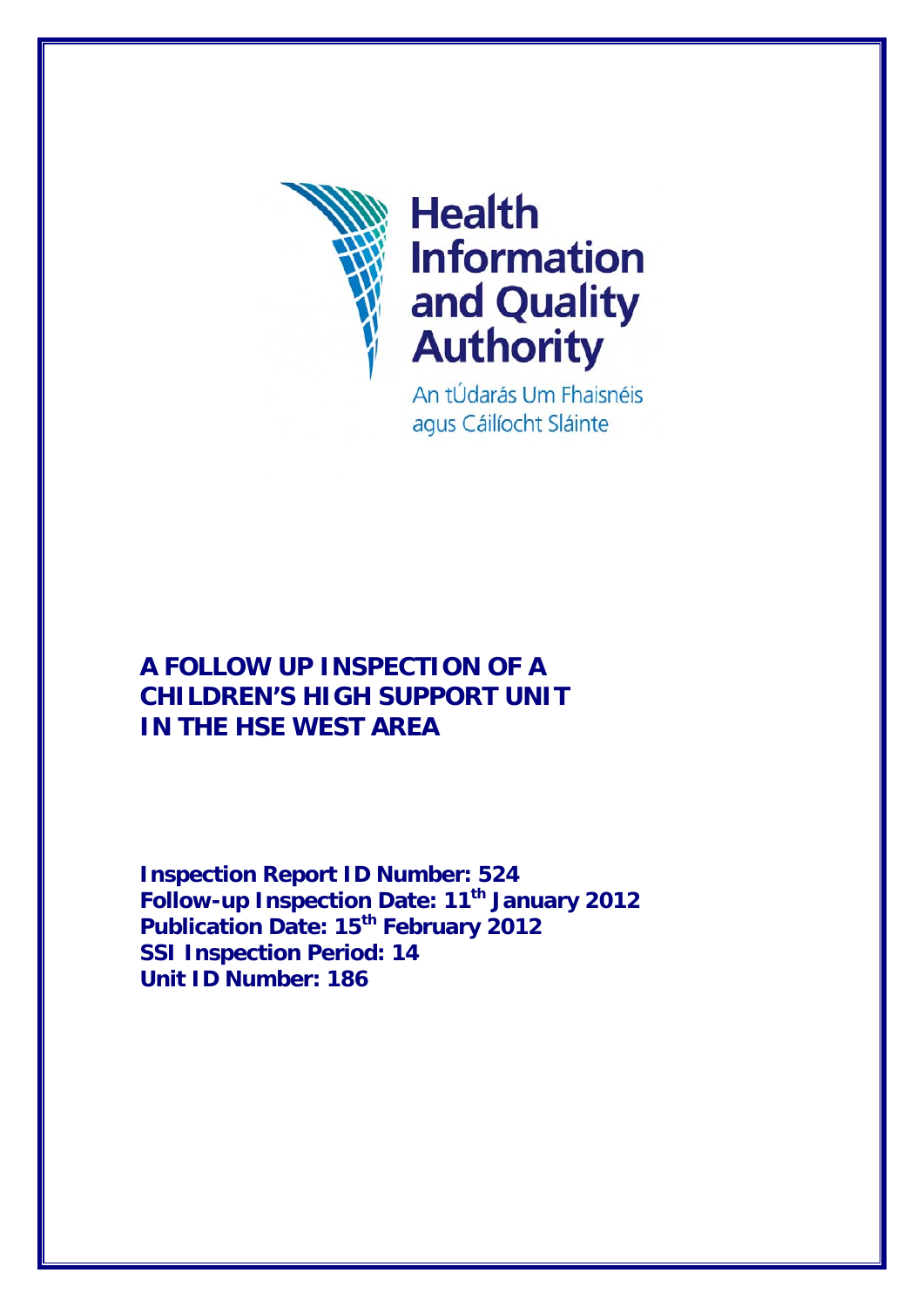

# **Health Information** and Quality **Authority**

An tÚdarás Um Fhaisnéis agus Cáilíocht Sláinte

## **A FOLLOW UP INSPECTION OF A CHILDREN'S HIGH SUPPORT UNIT IN THE HSE WEST AREA**

**Inspection Report ID Number: 524 Follow-up Inspection Date: 11<sup>th</sup> January 2012 Publication Date: 15th February 2012 SSI Inspection Period: 14 Unit ID Number: 186**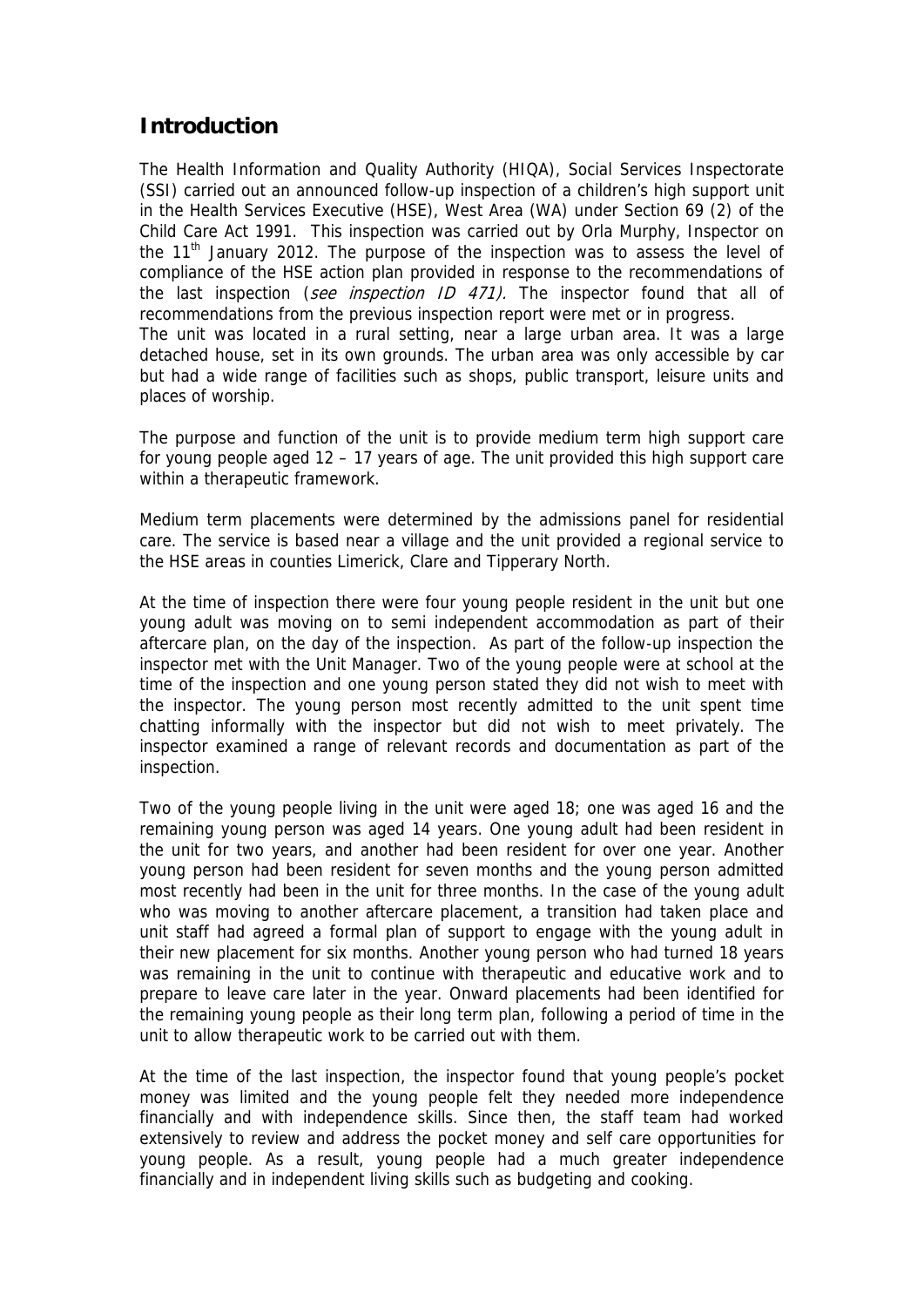### **Introduction**

The Health Information and Quality Authority (HIQA), Social Services Inspectorate (SSI) carried out an announced follow-up inspection of a children's high support unit in the Health Services Executive (HSE), West Area (WA) under Section 69 (2) of the Child Care Act 1991. This inspection was carried out by Orla Murphy, Inspector on the  $11<sup>th</sup>$  January 2012. The purpose of the inspection was to assess the level of compliance of the HSE action plan provided in response to the recommendations of the last inspection (see inspection ID 471). The inspector found that all of recommendations from the previous inspection report were met or in progress. The unit was located in a rural setting, near a large urban area. It was a large detached house, set in its own grounds. The urban area was only accessible by car but had a wide range of facilities such as shops, public transport, leisure units and places of worship.

The purpose and function of the unit is to provide medium term high support care for young people aged 12 – 17 years of age. The unit provided this high support care within a therapeutic framework.

Medium term placements were determined by the admissions panel for residential care. The service is based near a village and the unit provided a regional service to the HSE areas in counties Limerick, Clare and Tipperary North.

At the time of inspection there were four young people resident in the unit but one young adult was moving on to semi independent accommodation as part of their aftercare plan, on the day of the inspection. As part of the follow-up inspection the inspector met with the Unit Manager. Two of the young people were at school at the time of the inspection and one young person stated they did not wish to meet with the inspector. The young person most recently admitted to the unit spent time chatting informally with the inspector but did not wish to meet privately. The inspector examined a range of relevant records and documentation as part of the inspection.

Two of the young people living in the unit were aged 18; one was aged 16 and the remaining young person was aged 14 years. One young adult had been resident in the unit for two years, and another had been resident for over one year. Another young person had been resident for seven months and the young person admitted most recently had been in the unit for three months. In the case of the young adult who was moving to another aftercare placement, a transition had taken place and unit staff had agreed a formal plan of support to engage with the young adult in their new placement for six months. Another young person who had turned 18 years was remaining in the unit to continue with therapeutic and educative work and to prepare to leave care later in the year. Onward placements had been identified for the remaining young people as their long term plan, following a period of time in the unit to allow therapeutic work to be carried out with them.

At the time of the last inspection, the inspector found that young people's pocket money was limited and the young people felt they needed more independence financially and with independence skills. Since then, the staff team had worked extensively to review and address the pocket money and self care opportunities for young people. As a result, young people had a much greater independence financially and in independent living skills such as budgeting and cooking.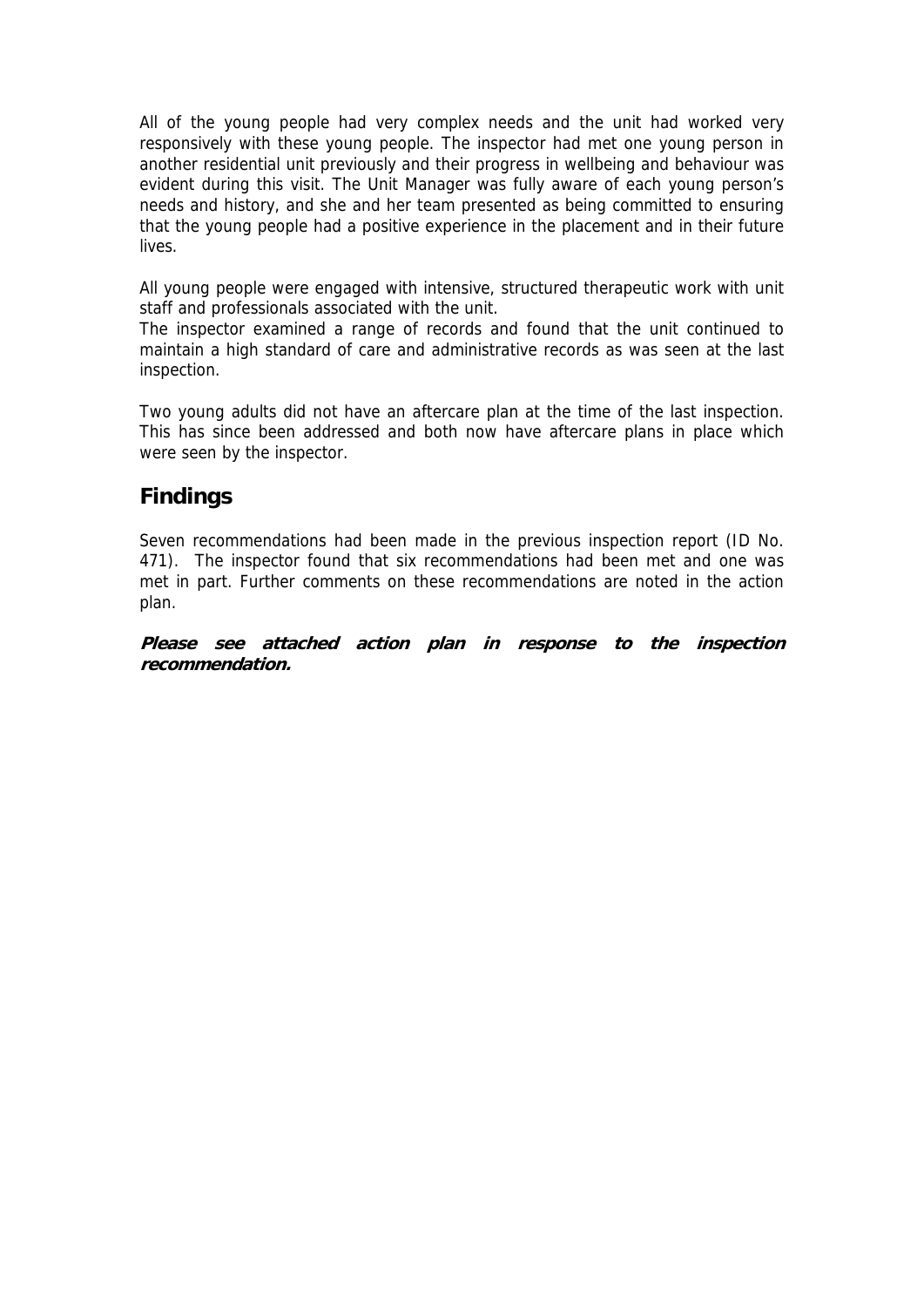All of the young people had very complex needs and the unit had worked very responsively with these young people. The inspector had met one young person in another residential unit previously and their progress in wellbeing and behaviour was evident during this visit. The Unit Manager was fully aware of each young person's needs and history, and she and her team presented as being committed to ensuring that the young people had a positive experience in the placement and in their future lives.

All young people were engaged with intensive, structured therapeutic work with unit staff and professionals associated with the unit.

The inspector examined a range of records and found that the unit continued to maintain a high standard of care and administrative records as was seen at the last inspection.

Two young adults did not have an aftercare plan at the time of the last inspection. This has since been addressed and both now have aftercare plans in place which were seen by the inspector.

#### **Findings**

Seven recommendations had been made in the previous inspection report (ID No. 471). The inspector found that six recommendations had been met and one was met in part. Further comments on these recommendations are noted in the action plan.

**Please see attached action plan in response to the inspection recommendation.**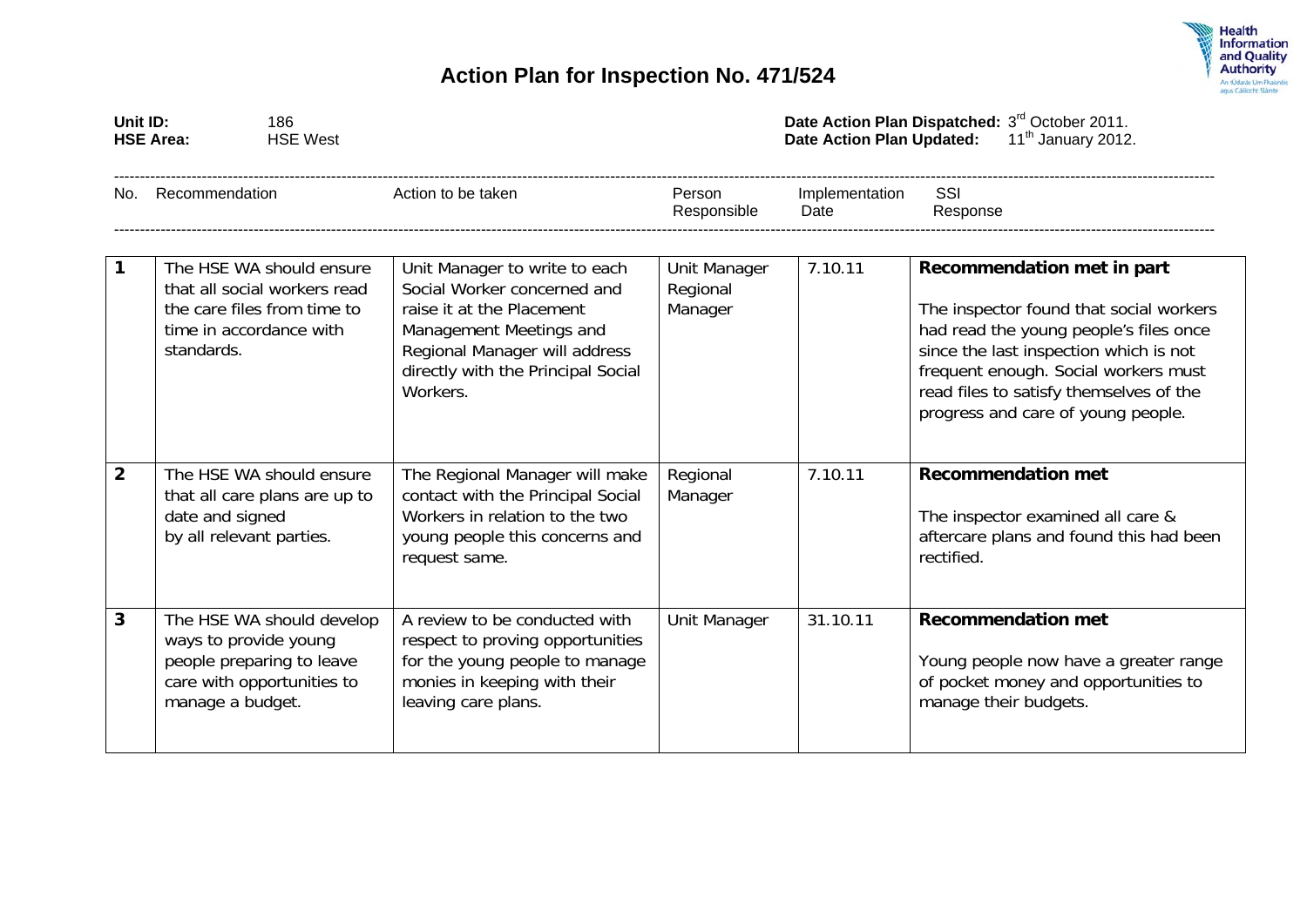



| Unit ID:<br><b>HSE Area:</b> |                                             | 186<br><b>HSE West</b>                                                                  |                                                                                                                                                                                                         | Date Action Plan Dispatched: 3rd October 2011.<br>11 <sup>th</sup> January 2012.<br><b>Date Action Plan Updated:</b> |                        |                                                                                                                                                                                                                                                                                    |  |
|------------------------------|---------------------------------------------|-----------------------------------------------------------------------------------------|---------------------------------------------------------------------------------------------------------------------------------------------------------------------------------------------------------|----------------------------------------------------------------------------------------------------------------------|------------------------|------------------------------------------------------------------------------------------------------------------------------------------------------------------------------------------------------------------------------------------------------------------------------------|--|
| No.                          | Recommendation                              |                                                                                         | Action to be taken                                                                                                                                                                                      | Person<br>Responsible                                                                                                | Implementation<br>Date | SSI<br>Response                                                                                                                                                                                                                                                                    |  |
| $\mathbf{1}$                 | time in accordance with<br>standards.       | The HSE WA should ensure<br>that all social workers read<br>the care files from time to | Unit Manager to write to each<br>Social Worker concerned and<br>raise it at the Placement<br>Management Meetings and<br>Regional Manager will address<br>directly with the Principal Social<br>Workers. | Unit Manager<br>Regional<br>Manager                                                                                  | 7.10.11                | Recommendation met in part<br>The inspector found that social workers<br>had read the young people's files once<br>since the last inspection which is not<br>frequent enough. Social workers must<br>read files to satisfy themselves of the<br>progress and care of young people. |  |
| $\overline{2}$               | date and signed<br>by all relevant parties. | The HSE WA should ensure<br>that all care plans are up to                               | The Regional Manager will make<br>contact with the Principal Social<br>Workers in relation to the two<br>young people this concerns and<br>request same.                                                | Regional<br>Manager                                                                                                  | 7.10.11                | <b>Recommendation met</b><br>The inspector examined all care &<br>aftercare plans and found this had been<br>rectified.                                                                                                                                                            |  |
| 3                            | ways to provide young<br>manage a budget.   | The HSE WA should develop<br>people preparing to leave<br>care with opportunities to    | A review to be conducted with<br>respect to proving opportunities<br>for the young people to manage<br>monies in keeping with their<br>leaving care plans.                                              | Unit Manager                                                                                                         | 31.10.11               | <b>Recommendation met</b><br>Young people now have a greater range<br>of pocket money and opportunities to<br>manage their budgets.                                                                                                                                                |  |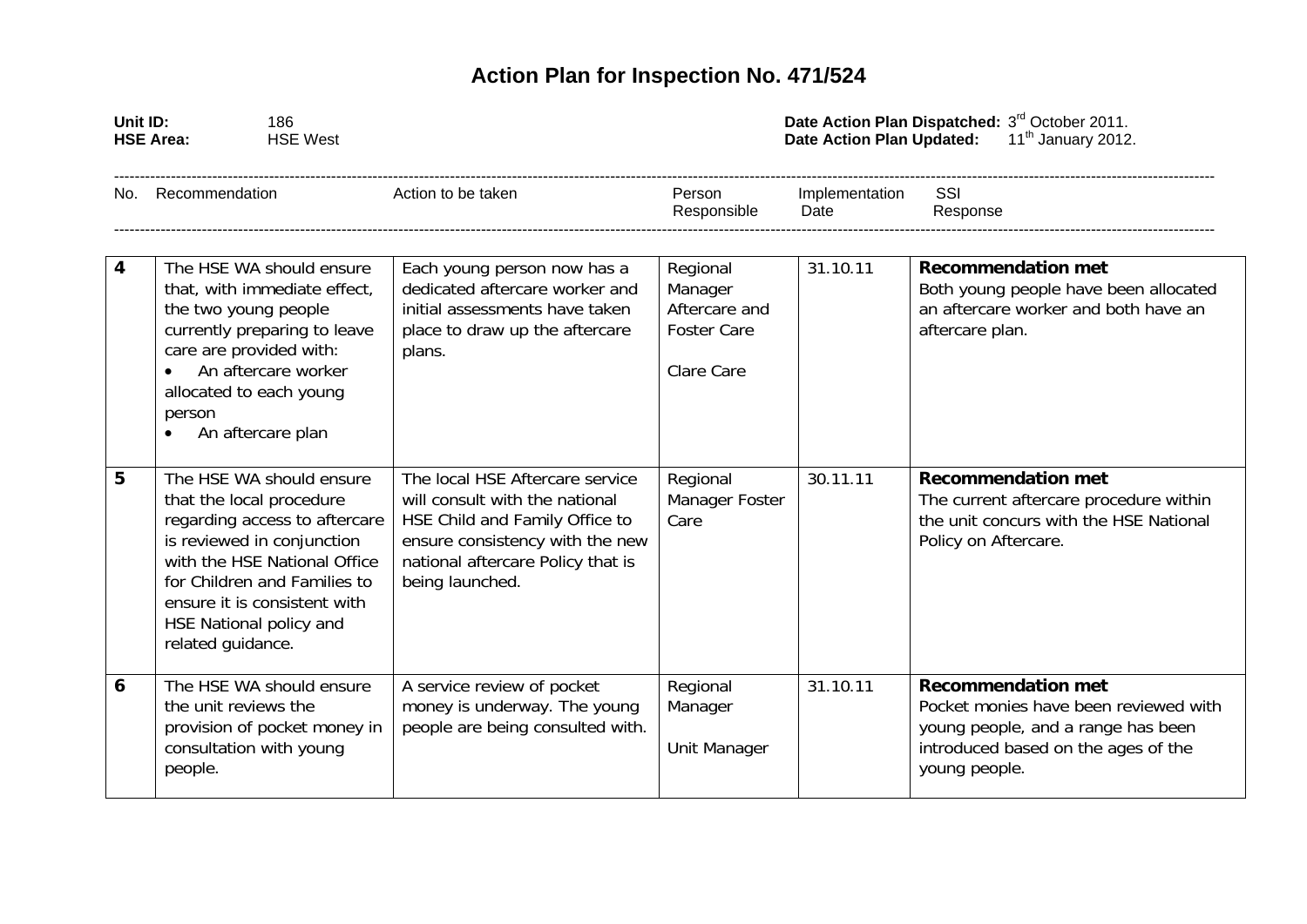## **Action Plan for Inspection No. 471/524**

| Unit ID: | 186<br><b>HSE Area:</b><br><b>HSE West</b>                                                                                                                                                                                                                          |                                                                                                                                                                                                |                                                                                 | Date Action Plan Dispatched: 3rd October 2011.<br><b>Date Action Plan Updated:</b><br>$11th$ January 2012. |                                                                                                                                                                  |  |  |
|----------|---------------------------------------------------------------------------------------------------------------------------------------------------------------------------------------------------------------------------------------------------------------------|------------------------------------------------------------------------------------------------------------------------------------------------------------------------------------------------|---------------------------------------------------------------------------------|------------------------------------------------------------------------------------------------------------|------------------------------------------------------------------------------------------------------------------------------------------------------------------|--|--|
| No.      | Recommendation                                                                                                                                                                                                                                                      | Action to be taken                                                                                                                                                                             | Person<br>Responsible                                                           | Implementation<br>Date                                                                                     | SSI<br>Response                                                                                                                                                  |  |  |
| 4        | The HSE WA should ensure<br>that, with immediate effect,<br>the two young people<br>currently preparing to leave<br>care are provided with:<br>An aftercare worker<br>$\bullet$<br>allocated to each young<br>person<br>An aftercare plan                           | Each young person now has a<br>dedicated aftercare worker and<br>initial assessments have taken<br>place to draw up the aftercare<br>plans.                                                    | Regional<br>Manager<br>Aftercare and<br><b>Foster Care</b><br><b>Clare Care</b> | 31.10.11                                                                                                   | <b>Recommendation met</b><br>Both young people have been allocated<br>an aftercare worker and both have an<br>aftercare plan.                                    |  |  |
| 5        | The HSE WA should ensure<br>that the local procedure<br>regarding access to aftercare<br>is reviewed in conjunction<br>with the HSE National Office<br>for Children and Families to<br>ensure it is consistent with<br>HSE National policy and<br>related guidance. | The local HSE Aftercare service<br>will consult with the national<br>HSE Child and Family Office to<br>ensure consistency with the new<br>national aftercare Policy that is<br>being launched. | Regional<br>Manager Foster<br>Care                                              | 30.11.11                                                                                                   | <b>Recommendation met</b><br>The current aftercare procedure within<br>the unit concurs with the HSE National<br>Policy on Aftercare.                            |  |  |
| 6        | The HSE WA should ensure<br>the unit reviews the<br>provision of pocket money in<br>consultation with young<br>people.                                                                                                                                              | A service review of pocket<br>money is underway. The young<br>people are being consulted with.                                                                                                 | Regional<br>Manager<br>Unit Manager                                             | 31.10.11                                                                                                   | <b>Recommendation met</b><br>Pocket monies have been reviewed with<br>young people, and a range has been<br>introduced based on the ages of the<br>young people. |  |  |